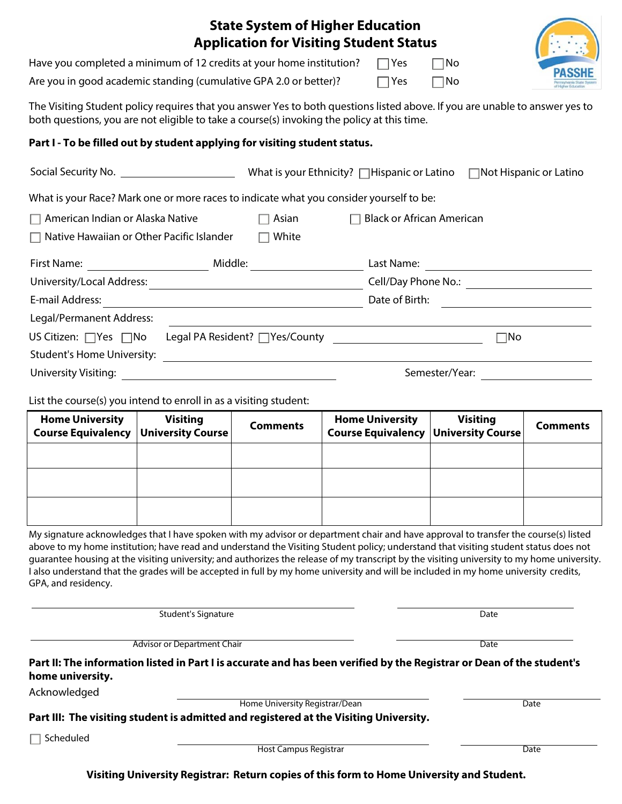|                                                                                                                                                                                                                           | <b>State System of Higher Education</b><br><b>Application for Visiting Student Status</b> |                                                                                                                |                 |                 |  |  |  |  |
|---------------------------------------------------------------------------------------------------------------------------------------------------------------------------------------------------------------------------|-------------------------------------------------------------------------------------------|----------------------------------------------------------------------------------------------------------------|-----------------|-----------------|--|--|--|--|
| Have you completed a minimum of 12 credits at your home institution?                                                                                                                                                      |                                                                                           | $\Box$ Yes                                                                                                     | $\square$ No    | PASS            |  |  |  |  |
| Are you in good academic standing (cumulative GPA 2.0 or better)?<br>$\Box$ Yes<br>$\square$ No                                                                                                                           |                                                                                           |                                                                                                                |                 |                 |  |  |  |  |
| The Visiting Student policy requires that you answer Yes to both questions listed above. If you are unable to answer yes to<br>both questions, you are not eligible to take a course(s) invoking the policy at this time. |                                                                                           |                                                                                                                |                 |                 |  |  |  |  |
| Part I - To be filled out by student applying for visiting student status.                                                                                                                                                |                                                                                           |                                                                                                                |                 |                 |  |  |  |  |
|                                                                                                                                                                                                                           |                                                                                           |                                                                                                                |                 |                 |  |  |  |  |
| What is your Race? Mark one or more races to indicate what you consider yourself to be:                                                                                                                                   |                                                                                           |                                                                                                                |                 |                 |  |  |  |  |
| American Indian or Alaska Native<br>$\Box$ Asian<br>$\Box$ Black or African American                                                                                                                                      |                                                                                           |                                                                                                                |                 |                 |  |  |  |  |
| Native Hawaiian or Other Pacific Islander                                                                                                                                                                                 | $\Box$ White                                                                              |                                                                                                                |                 |                 |  |  |  |  |
|                                                                                                                                                                                                                           |                                                                                           |                                                                                                                |                 |                 |  |  |  |  |
|                                                                                                                                                                                                                           |                                                                                           |                                                                                                                |                 |                 |  |  |  |  |
|                                                                                                                                                                                                                           |                                                                                           |                                                                                                                |                 |                 |  |  |  |  |
| Legal/Permanent Address:                                                                                                                                                                                                  |                                                                                           |                                                                                                                |                 |                 |  |  |  |  |
| US Citizen: $\Box$ Yes $\Box$ No                                                                                                                                                                                          |                                                                                           | $\square$ No<br>Legal PA Resident? TYes/County The County Alegal PA Resident? TYes/County                      |                 |                 |  |  |  |  |
|                                                                                                                                                                                                                           |                                                                                           |                                                                                                                |                 |                 |  |  |  |  |
|                                                                                                                                                                                                                           |                                                                                           | Semester/Year: will be a series of the set of the set of the set of the set of the set of the set of the set o |                 |                 |  |  |  |  |
| List the course(s) you intend to enroll in as a visiting student:                                                                                                                                                         |                                                                                           |                                                                                                                |                 |                 |  |  |  |  |
| <b>Home University</b><br><b>Visiting</b><br>.                                                                                                                                                                            | <b>Comments</b>                                                                           | <b>Home University</b>                                                                                         | <b>Visiting</b> | <b>Comments</b> |  |  |  |  |

| <b>Home University</b><br><b>Course Equivalency   University Course  </b> | <b>Visiting</b> | <b>Comments</b> | <b>Home University</b><br><b>Course Equivalency   University Course  </b> | <b>Visiting</b> | <b>Comments</b> |
|---------------------------------------------------------------------------|-----------------|-----------------|---------------------------------------------------------------------------|-----------------|-----------------|
|                                                                           |                 |                 |                                                                           |                 |                 |
|                                                                           |                 |                 |                                                                           |                 |                 |
|                                                                           |                 |                 |                                                                           |                 |                 |

My signature acknowledges that I have spoken with my advisor or department chair and have approval to transfer the course(s) listed above to my home institution; have read and understand the Visiting Student policy; understand that visiting student status does not guarantee housing at the visiting university; and authorizes the release of my transcript by the visiting university to my home university. I also understand that the grades will be accepted in full by my home university and will be included in my home university credits, GPA, and residency.

Student's Signature Date

Advisor or Department Chair **Date of Advisor or Department Chair** Date

**Part II: The information listed in Part I is accurate and has been verified by the Registrar or Dean of the student's home university.**

Acknowledged

Home University Registrar/Dean Date

**Part III: The visiting student is admitted and registered at the Visiting University.**

 $\Box$  Scheduled

Host Campus Registrar Date

**Visiting University Registrar: Return copies of this form to Home University and Student.**